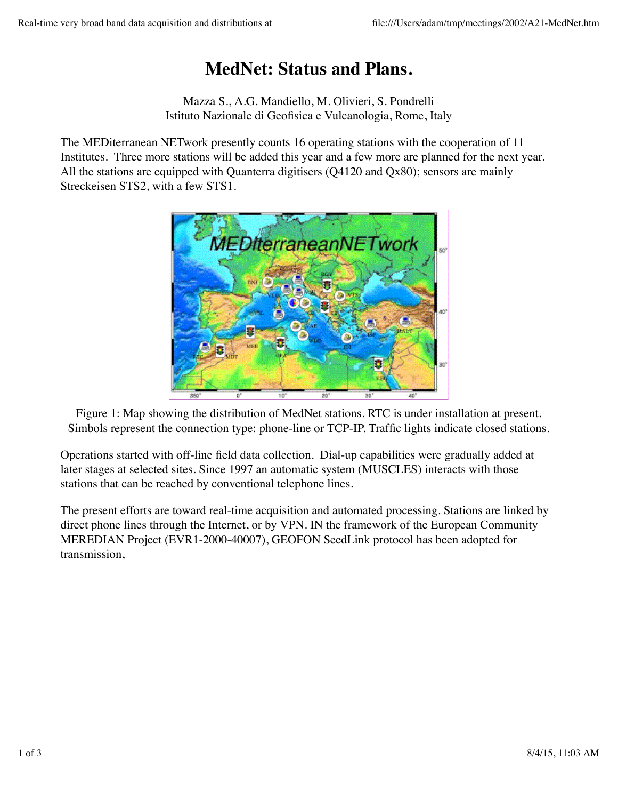## **MedNet: Status and Plans.**

Mazza S., A.G. Mandiello, M. Olivieri, S. Pondrelli Istituto Nazionale di Geofisica e Vulcanologia, Rome, Italy

The MEDiterranean NETwork presently counts 16 operating stations with the cooperation of 11 Institutes. Three more stations will be added this year and a few more are planned for the next year. All the stations are equipped with Quanterra digitisers (Q4120 and Qx80); sensors are mainly Streckeisen STS2, with a few STS1.



Figure 1: Map showing the distribution of MedNet stations. RTC is under installation at present. Simbols represent the connection type: phone-line or TCP-IP. Traffic lights indicate closed stations.

Operations started with off-line field data collection. Dial-up capabilities were gradually added at later stages at selected sites. Since 1997 an automatic system (MUSCLES) interacts with those stations that can be reached by conventional telephone lines.

The present efforts are toward real-time acquisition and automated processing. Stations are linked by direct phone lines through the Internet, or by VPN. IN the framework of the European Community MEREDIAN Project (EVR1-2000-40007), GEOFON SeedLink protocol has been adopted for transmission,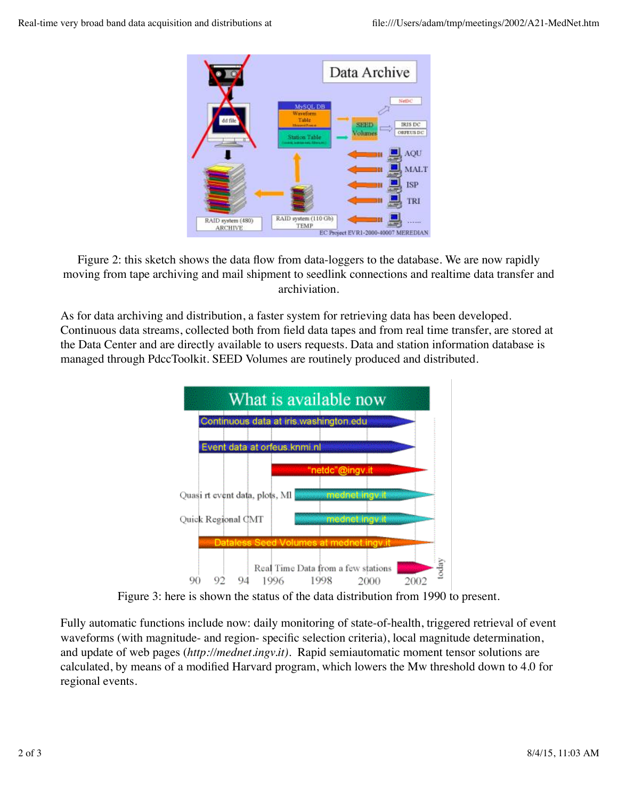

Figure 2: this sketch shows the data flow from data-loggers to the database. We are now rapidly moving from tape archiving and mail shipment to seedlink connections and realtime data transfer and archiviation.

As for data archiving and distribution, a faster system for retrieving data has been developed. Continuous data streams, collected both from field data tapes and from real time transfer, are stored at the Data Center and are directly available to users requests. Data and station information database is managed through PdccToolkit. SEED Volumes are routinely produced and distributed.



Figure 3: here is shown the status of the data distribution from 1990 to present.

Fully automatic functions include now: daily monitoring of state-of-health, triggered retrieval of event waveforms (with magnitude- and region- specific selection criteria), local magnitude determination, and update of web pages (*http://mednet.ingv.it)*. Rapid semiautomatic moment tensor solutions are calculated, by means of a modified Harvard program, which lowers the Mw threshold down to 4.0 for regional events.